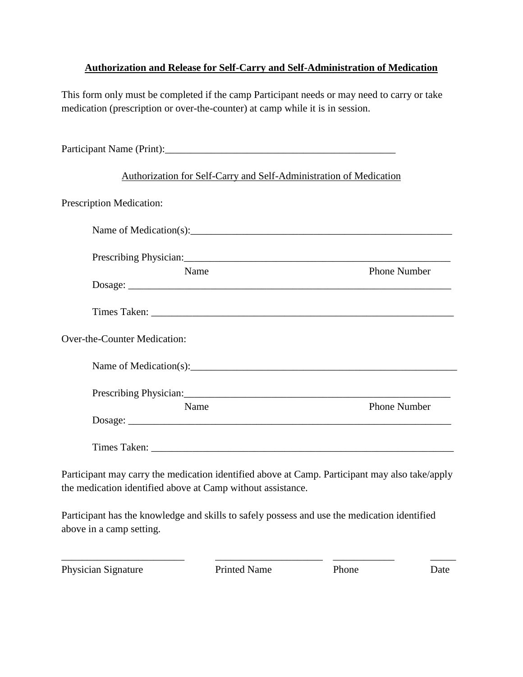## **Authorization and Release for Self-Carry and Self-Administration of Medication**

This form only must be completed if the camp Participant needs or may need to carry or take medication (prescription or over-the-counter) at camp while it is in session.

| Authorization for Self-Carry and Self-Administration of Medication                             |                     |
|------------------------------------------------------------------------------------------------|---------------------|
| Prescription Medication:                                                                       |                     |
| Name of Medication(s): $\qquad \qquad$                                                         |                     |
|                                                                                                |                     |
| Name                                                                                           | <b>Phone Number</b> |
|                                                                                                |                     |
|                                                                                                |                     |
| Over-the-Counter Medication:                                                                   |                     |
| Name of Medication(s):                                                                         |                     |
|                                                                                                |                     |
| Name                                                                                           | <b>Phone Number</b> |
|                                                                                                |                     |
|                                                                                                |                     |
| Participant may carry the medication identified above at Camp. Participant may also take/apply |                     |
| the medication identified above at Camp without assistance.                                    |                     |

Participant has the knowledge and skills to safely possess and use the medication identified above in a camp setting.

Physician Signature Printed Name Phone Date

\_\_\_\_\_\_\_\_\_\_\_\_\_\_\_\_\_\_\_\_\_\_\_\_ \_\_\_\_\_\_\_\_\_\_\_\_\_\_\_\_\_\_\_\_\_ \_\_\_\_\_\_\_\_\_\_\_\_ \_\_\_\_\_